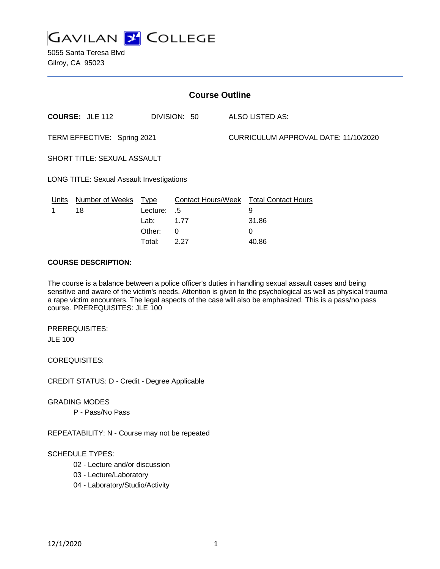

5055 Santa Teresa Blvd Gilroy, CA 95023

| <b>Course Outline</b>                            |                            |          |              |  |                                             |  |
|--------------------------------------------------|----------------------------|----------|--------------|--|---------------------------------------------|--|
|                                                  | <b>COURSE: JLE 112</b>     |          | DIVISION: 50 |  | ALSO LISTED AS:                             |  |
| TERM EFFECTIVE: Spring 2021                      |                            |          |              |  | CURRICULUM APPROVAL DATE: 11/10/2020        |  |
| <b>SHORT TITLE: SEXUAL ASSAULT</b>               |                            |          |              |  |                                             |  |
| <b>LONG TITLE: Sexual Assault Investigations</b> |                            |          |              |  |                                             |  |
| Units                                            | Number of Weeks Type<br>18 | Lecture: | .5           |  | Contact Hours/Week Total Contact Hours<br>9 |  |
|                                                  |                            | Lab:     | 1.77         |  | 31.86                                       |  |
|                                                  |                            | Other:   | $\Omega$     |  | 0                                           |  |

### **COURSE DESCRIPTION:**

The course is a balance between a police officer's duties in handling sexual assault cases and being sensitive and aware of the victim's needs. Attention is given to the psychological as well as physical trauma a rape victim encounters. The legal aspects of the case will also be emphasized. This is a pass/no pass course. PREREQUISITES: JLE 100

Total: 2.27 40.86

PREREQUISITES: JLE 100

COREQUISITES:

CREDIT STATUS: D - Credit - Degree Applicable

GRADING MODES

P - Pass/No Pass

REPEATABILITY: N - Course may not be repeated

#### SCHEDULE TYPES:

- 02 Lecture and/or discussion
- 03 Lecture/Laboratory
- 04 Laboratory/Studio/Activity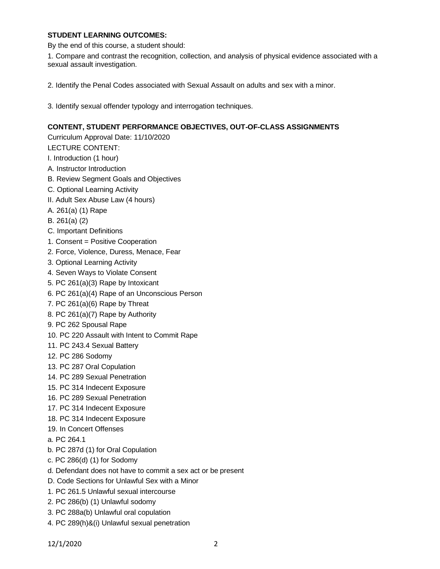# **STUDENT LEARNING OUTCOMES:**

By the end of this course, a student should:

1. Compare and contrast the recognition, collection, and analysis of physical evidence associated with a sexual assault investigation.

2. Identify the Penal Codes associated with Sexual Assault on adults and sex with a minor.

3. Identify sexual offender typology and interrogation techniques.

# **CONTENT, STUDENT PERFORMANCE OBJECTIVES, OUT-OF-CLASS ASSIGNMENTS**

Curriculum Approval Date: 11/10/2020 LECTURE CONTENT:

- I. Introduction (1 hour)
- A. Instructor Introduction
- B. Review Segment Goals and Objectives
- C. Optional Learning Activity
- II. Adult Sex Abuse Law (4 hours)
- A. 261(a) (1) Rape
- B. 261(a) (2)
- C. Important Definitions
- 1. Consent = Positive Cooperation
- 2. Force, Violence, Duress, Menace, Fear
- 3. Optional Learning Activity
- 4. Seven Ways to Violate Consent
- 5. PC 261(a)(3) Rape by Intoxicant
- 6. PC 261(a)(4) Rape of an Unconscious Person
- 7. PC 261(a)(6) Rape by Threat
- 8. PC 261(a)(7) Rape by Authority
- 9. PC 262 Spousal Rape
- 10. PC 220 Assault with Intent to Commit Rape
- 11. PC 243.4 Sexual Battery
- 12. PC 286 Sodomy
- 13. PC 287 Oral Copulation
- 14. PC 289 Sexual Penetration
- 15. PC 314 Indecent Exposure
- 16. PC 289 Sexual Penetration
- 17. PC 314 Indecent Exposure
- 18. PC 314 Indecent Exposure
- 19. In Concert Offenses
- a. PC 264.1
- b. PC 287d (1) for Oral Copulation
- c. PC 286(d) (1) for Sodomy
- d. Defendant does not have to commit a sex act or be present
- D. Code Sections for Unlawful Sex with a Minor
- 1. PC 261.5 Unlawful sexual intercourse
- 2. PC 286(b) (1) Unlawful sodomy
- 3. PC 288a(b) Unlawful oral copulation
- 4. PC 289(h)&(i) Unlawful sexual penetration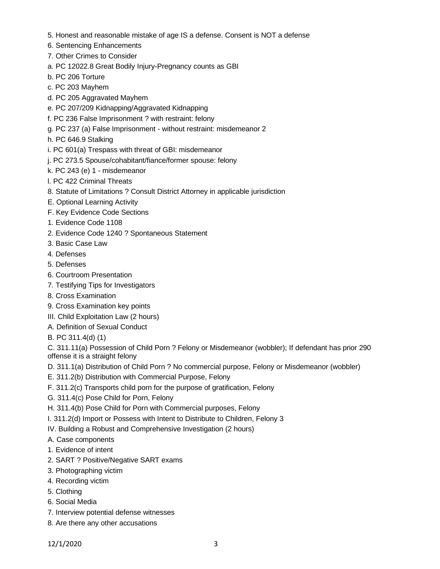- 5. Honest and reasonable mistake of age IS a defense. Consent is NOT a defense
- 6. Sentencing Enhancements
- 7. Other Crimes to Consider
- a. PC 12022.8 Great Bodily Injury-Pregnancy counts as GBI
- b. PC 206 Torture
- c. PC 203 Mayhem
- d. PC 205 Aggravated Mayhem
- e. PC 207/209 Kidnapping/Aggravated Kidnapping
- f. PC 236 False Imprisonment ? with restraint: felony
- g. PC 237 (a) False Imprisonment without restraint: misdemeanor 2
- h. PC 646.9 Stalking
- i. PC 601(a) Trespass with threat of GBI: misdemeanor
- j. PC 273.5 Spouse/cohabitant/fiance/former spouse: felony
- k. PC 243 (e) 1 misdemeanor
- l. PC 422 Criminal Threats
- 8. Statute of Limitations ? Consult District Attorney in applicable jurisdiction
- E. Optional Learning Activity
- F. Key Evidence Code Sections
- 1. Evidence Code 1108
- 2. Evidence Code 1240 ? Spontaneous Statement
- 3. Basic Case Law
- 4. Defenses
- 5. Defenses
- 6. Courtroom Presentation
- 7. Testifying Tips for Investigators
- 8. Cross Examination
- 9. Cross Examination key points
- III. Child Exploitation Law (2 hours)
- A. Definition of Sexual Conduct
- B. PC 311.4(d) (1)

C. 311.11(a) Possession of Child Porn ? Felony or Misdemeanor (wobbler); If defendant has prior 290 offense it is a straight felony

- D. 311.1(a) Distribution of Child Porn ? No commercial purpose, Felony or Misdemeanor (wobbler)
- E. 311.2(b) Distribution with Commercial Purpose, Felony
- F. 311.2(c) Transports child porn for the purpose of gratification, Felony
- G. 311.4(c) Pose Child for Porn, Felony
- H. 311.4(b) Pose Child for Porn with Commercial purposes, Felony
- I. 311.2(d) Import or Possess with Intent to Distribute to Children, Felony 3
- IV. Building a Robust and Comprehensive Investigation (2 hours)
- A. Case components
- 1. Evidence of intent
- 2. SART ? Positive/Negative SART exams
- 3. Photographing victim
- 4. Recording victim
- 5. Clothing
- 6. Social Media
- 7. Interview potential defense witnesses
- 8. Are there any other accusations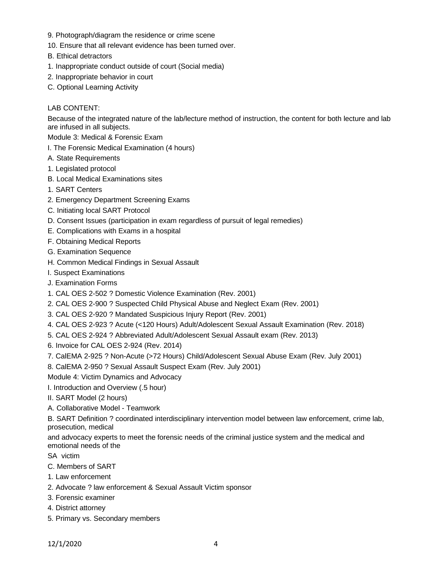- 9. Photograph/diagram the residence or crime scene
- 10. Ensure that all relevant evidence has been turned over.
- B. Ethical detractors
- 1. Inappropriate conduct outside of court (Social media)
- 2. Inappropriate behavior in court
- C. Optional Learning Activity

# LAB CONTENT:

Because of the integrated nature of the lab/lecture method of instruction, the content for both lecture and lab are infused in all subjects.

Module 3: Medical & Forensic Exam

- I. The Forensic Medical Examination (4 hours)
- A. State Requirements
- 1. Legislated protocol
- B. Local Medical Examinations sites
- 1. SART Centers
- 2. Emergency Department Screening Exams
- C. Initiating local SART Protocol
- D. Consent Issues (participation in exam regardless of pursuit of legal remedies)
- E. Complications with Exams in a hospital
- F. Obtaining Medical Reports
- G. Examination Sequence
- H. Common Medical Findings in Sexual Assault
- I. Suspect Examinations
- J. Examination Forms
- 1. CAL OES 2-502 ? Domestic Violence Examination (Rev. 2001)
- 2. CAL OES 2-900 ? Suspected Child Physical Abuse and Neglect Exam (Rev. 2001)
- 3. CAL OES 2-920 ? Mandated Suspicious Injury Report (Rev. 2001)
- 4. CAL OES 2-923 ? Acute (<120 Hours) Adult/Adolescent Sexual Assault Examination (Rev. 2018)
- 5. CAL OES 2-924 ? Abbreviated Adult/Adolescent Sexual Assault exam (Rev. 2013)
- 6. Invoice for CAL OES 2-924 (Rev. 2014)
- 7. CalEMA 2-925 ? Non-Acute (>72 Hours) Child/Adolescent Sexual Abuse Exam (Rev. July 2001)
- 8. CalEMA 2-950 ? Sexual Assault Suspect Exam (Rev. July 2001)

Module 4: Victim Dynamics and Advocacy

I. Introduction and Overview (.5 hour)

- II. SART Model (2 hours)
- A. Collaborative Model Teamwork

B. SART Definition ? coordinated interdisciplinary intervention model between law enforcement, crime lab, prosecution, medical

and advocacy experts to meet the forensic needs of the criminal justice system and the medical and emotional needs of the

- SA victim
- C. Members of SART
- 1. Law enforcement
- 2. Advocate ? law enforcement & Sexual Assault Victim sponsor
- 3. Forensic examiner
- 4. District attorney
- 5. Primary vs. Secondary members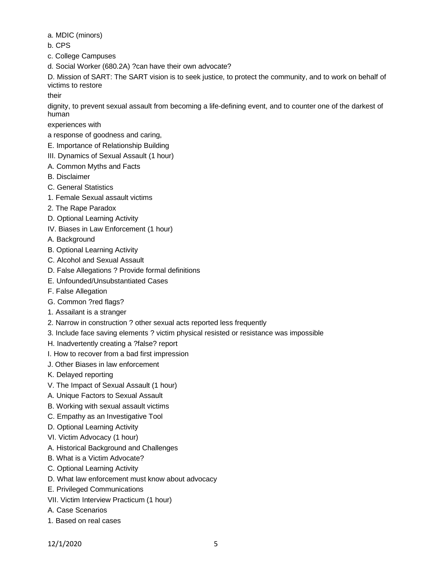a. MDIC (minors)

- b. CPS
- c. College Campuses
- d. Social Worker (680.2A) ?can have their own advocate?

D. Mission of SART: The SART vision is to seek justice, to protect the community, and to work on behalf of victims to restore

their

dignity, to prevent sexual assault from becoming a life-defining event, and to counter one of the darkest of human

experiences with

- a response of goodness and caring,
- E. Importance of Relationship Building
- III. Dynamics of Sexual Assault (1 hour)
- A. Common Myths and Facts
- B. Disclaimer
- C. General Statistics
- 1. Female Sexual assault victims
- 2. The Rape Paradox
- D. Optional Learning Activity
- IV. Biases in Law Enforcement (1 hour)
- A. Background
- B. Optional Learning Activity
- C. Alcohol and Sexual Assault
- D. False Allegations ? Provide formal definitions
- E. Unfounded/Unsubstantiated Cases
- F. False Allegation
- G. Common ?red flags?
- 1. Assailant is a stranger
- 2. Narrow in construction ? other sexual acts reported less frequently
- 3. Include face saving elements ? victim physical resisted or resistance was impossible
- H. Inadvertently creating a ?false? report
- I. How to recover from a bad first impression
- J. Other Biases in law enforcement
- K. Delayed reporting
- V. The Impact of Sexual Assault (1 hour)
- A. Unique Factors to Sexual Assault
- B. Working with sexual assault victims
- C. Empathy as an Investigative Tool
- D. Optional Learning Activity
- VI. Victim Advocacy (1 hour)
- A. Historical Background and Challenges
- B. What is a Victim Advocate?
- C. Optional Learning Activity
- D. What law enforcement must know about advocacy
- E. Privileged Communications
- VII. Victim Interview Practicum (1 hour)
- A. Case Scenarios
- 1. Based on real cases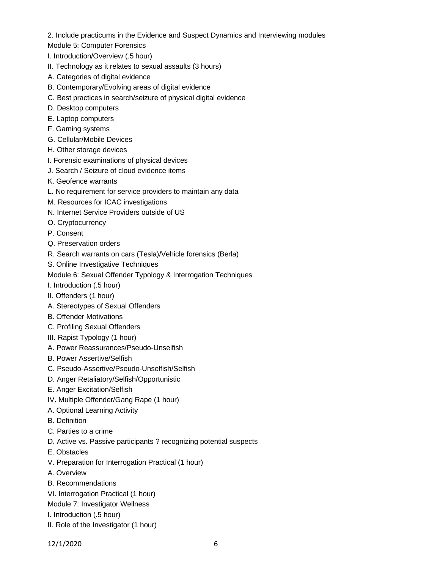2. Include practicums in the Evidence and Suspect Dynamics and Interviewing modules

- Module 5: Computer Forensics
- I. Introduction/Overview (.5 hour)
- II. Technology as it relates to sexual assaults (3 hours)
- A. Categories of digital evidence
- B. Contemporary/Evolving areas of digital evidence
- C. Best practices in search/seizure of physical digital evidence
- D. Desktop computers
- E. Laptop computers
- F. Gaming systems
- G. Cellular/Mobile Devices
- H. Other storage devices
- I. Forensic examinations of physical devices
- J. Search / Seizure of cloud evidence items
- K. Geofence warrants
- L. No requirement for service providers to maintain any data
- M. Resources for ICAC investigations
- N. Internet Service Providers outside of US
- O. Cryptocurrency
- P. Consent
- Q. Preservation orders
- R. Search warrants on cars (Tesla)/Vehicle forensics (Berla)
- S. Online Investigative Techniques

Module 6: Sexual Offender Typology & Interrogation Techniques

- I. Introduction (.5 hour)
- II. Offenders (1 hour)
- A. Stereotypes of Sexual Offenders
- B. Offender Motivations
- C. Profiling Sexual Offenders
- III. Rapist Typology (1 hour)
- A. Power Reassurances/Pseudo-Unselfish
- B. Power Assertive/Selfish
- C. Pseudo-Assertive/Pseudo-Unselfish/Selfish
- D. Anger Retaliatory/Selfish/Opportunistic
- E. Anger Excitation/Selfish
- IV. Multiple Offender/Gang Rape (1 hour)
- A. Optional Learning Activity
- B. Definition
- C. Parties to a crime
- D. Active vs. Passive participants ? recognizing potential suspects
- E. Obstacles
- V. Preparation for Interrogation Practical (1 hour)
- A. Overview
- B. Recommendations
- VI. Interrogation Practical (1 hour)
- Module 7: Investigator Wellness
- I. Introduction (.5 hour)
- II. Role of the Investigator (1 hour)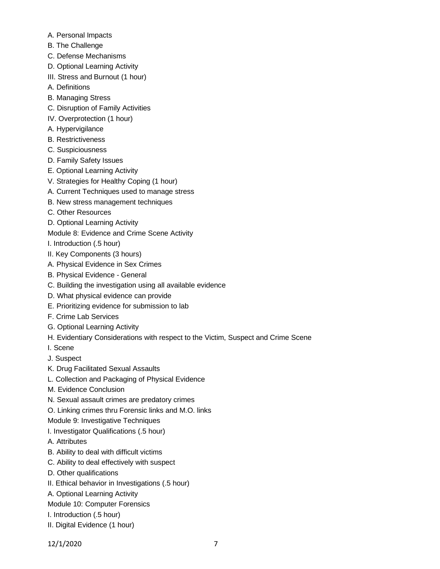- A. Personal Impacts
- B. The Challenge
- C. Defense Mechanisms
- D. Optional Learning Activity
- III. Stress and Burnout (1 hour)
- A. Definitions
- B. Managing Stress
- C. Disruption of Family Activities
- IV. Overprotection (1 hour)
- A. Hypervigilance
- B. Restrictiveness
- C. Suspiciousness
- D. Family Safety Issues
- E. Optional Learning Activity
- V. Strategies for Healthy Coping (1 hour)
- A. Current Techniques used to manage stress
- B. New stress management techniques
- C. Other Resources
- D. Optional Learning Activity
- Module 8: Evidence and Crime Scene Activity
- I. Introduction (.5 hour)
- II. Key Components (3 hours)
- A. Physical Evidence in Sex Crimes
- B. Physical Evidence General
- C. Building the investigation using all available evidence
- D. What physical evidence can provide
- E. Prioritizing evidence for submission to lab
- F. Crime Lab Services
- G. Optional Learning Activity
- H. Evidentiary Considerations with respect to the Victim, Suspect and Crime Scene
- I. Scene
- J. Suspect
- K. Drug Facilitated Sexual Assaults
- L. Collection and Packaging of Physical Evidence
- M. Evidence Conclusion
- N. Sexual assault crimes are predatory crimes
- O. Linking crimes thru Forensic links and M.O. links
- Module 9: Investigative Techniques
- I. Investigator Qualifications (.5 hour)
- A. Attributes
- B. Ability to deal with difficult victims
- C. Ability to deal effectively with suspect
- D. Other qualifications
- II. Ethical behavior in Investigations (.5 hour)
- A. Optional Learning Activity
- Module 10: Computer Forensics
- I. Introduction (.5 hour)
- II. Digital Evidence (1 hour)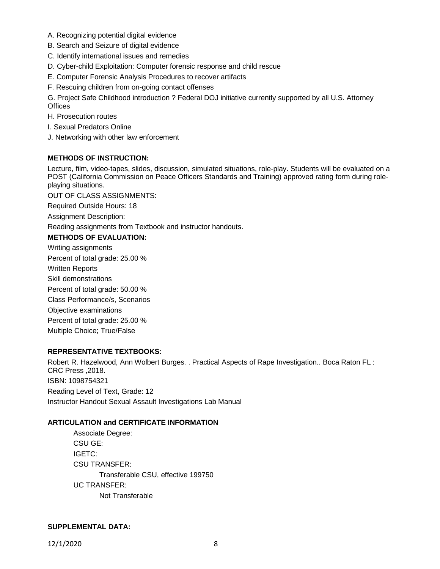- A. Recognizing potential digital evidence
- B. Search and Seizure of digital evidence
- C. Identify international issues and remedies
- D. Cyber-child Exploitation: Computer forensic response and child rescue
- E. Computer Forensic Analysis Procedures to recover artifacts
- F. Rescuing children from on-going contact offenses

G. Project Safe Childhood introduction ? Federal DOJ initiative currently supported by all U.S. Attorney **Offices** 

H. Prosecution routes

- I. Sexual Predators Online
- J. Networking with other law enforcement

## **METHODS OF INSTRUCTION:**

Lecture, film, video-tapes, slides, discussion, simulated situations, role-play. Students will be evaluated on a POST (California Commission on Peace Officers Standards and Training) approved rating form during roleplaying situations.

OUT OF CLASS ASSIGNMENTS:

Required Outside Hours: 18

Assignment Description:

Reading assignments from Textbook and instructor handouts.

### **METHODS OF EVALUATION:**

Writing assignments Percent of total grade: 25.00 % Written Reports Skill demonstrations Percent of total grade: 50.00 % Class Performance/s, Scenarios Objective examinations Percent of total grade: 25.00 % Multiple Choice; True/False

## **REPRESENTATIVE TEXTBOOKS:**

Robert R. Hazelwood, Ann Wolbert Burges. . Practical Aspects of Rape Investigation.. Boca Raton FL : CRC Press ,2018. ISBN: 1098754321 Reading Level of Text, Grade: 12 Instructor Handout Sexual Assault Investigations Lab Manual

#### **ARTICULATION and CERTIFICATE INFORMATION**

Associate Degree: CSU GE: IGETC: CSU TRANSFER: Transferable CSU, effective 199750 UC TRANSFER: Not Transferable

### **SUPPLEMENTAL DATA:**